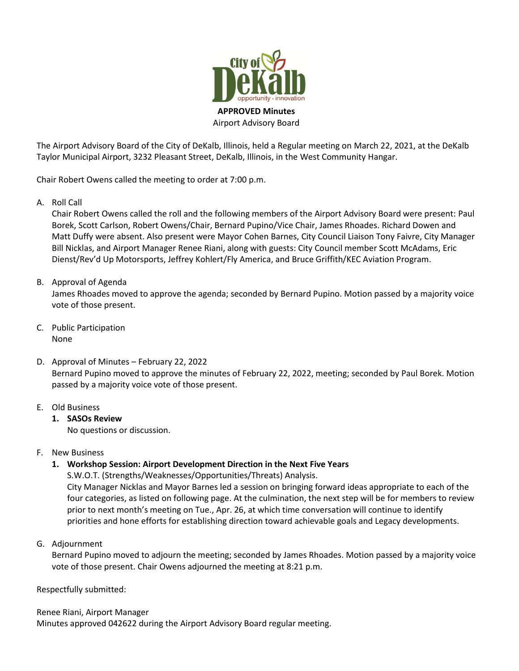

The Airport Advisory Board of the City of DeKalb, Illinois, held a Regular meeting on March 22, 2021, at the DeKalb Taylor Municipal Airport, 3232 Pleasant Street, DeKalb, Illinois, in the West Community Hangar.

Chair Robert Owens called the meeting to order at 7:00 p.m.

A. Roll Call

Chair Robert Owens called the roll and the following members of the Airport Advisory Board were present: Paul Borek, Scott Carlson, Robert Owens/Chair, Bernard Pupino/Vice Chair, James Rhoades. Richard Dowen and Matt Duffy were absent. Also present were Mayor Cohen Barnes, City Council Liaison Tony Faivre, City Manager Bill Nicklas, and Airport Manager Renee Riani, along with guests: City Council member Scott McAdams, Eric Dienst/Rev'd Up Motorsports, Jeffrey Kohlert/Fly America, and Bruce Griffith/KEC Aviation Program.

# B. Approval of Agenda

James Rhoades moved to approve the agenda; seconded by Bernard Pupino. Motion passed by a majority voice vote of those present.

- C. Public Participation None
- D. Approval of Minutes February 22, 2022 Bernard Pupino moved to approve the minutes of February 22, 2022, meeting; seconded by Paul Borek. Motion passed by a majority voice vote of those present.

# E. Old Business

**1. SASOs Review**

No questions or discussion.

F. New Business

# **1. Workshop Session: Airport Development Direction in the Next Five Years**

S.W.O.T. (Strengths/Weaknesses/Opportunities/Threats) Analysis. City Manager Nicklas and Mayor Barnes led a session on bringing forward ideas appropriate to each of the four categories, as listed on following page. At the culmination, the next step will be for members to review prior to next month's meeting on Tue., Apr. 26, at which time conversation will continue to identify priorities and hone efforts for establishing direction toward achievable goals and Legacy developments.

G. Adjournment

Bernard Pupino moved to adjourn the meeting; seconded by James Rhoades. Motion passed by a majority voice vote of those present. Chair Owens adjourned the meeting at 8:21 p.m.

Respectfully submitted:

Renee Riani, Airport Manager Minutes approved 042622 during the Airport Advisory Board regular meeting.